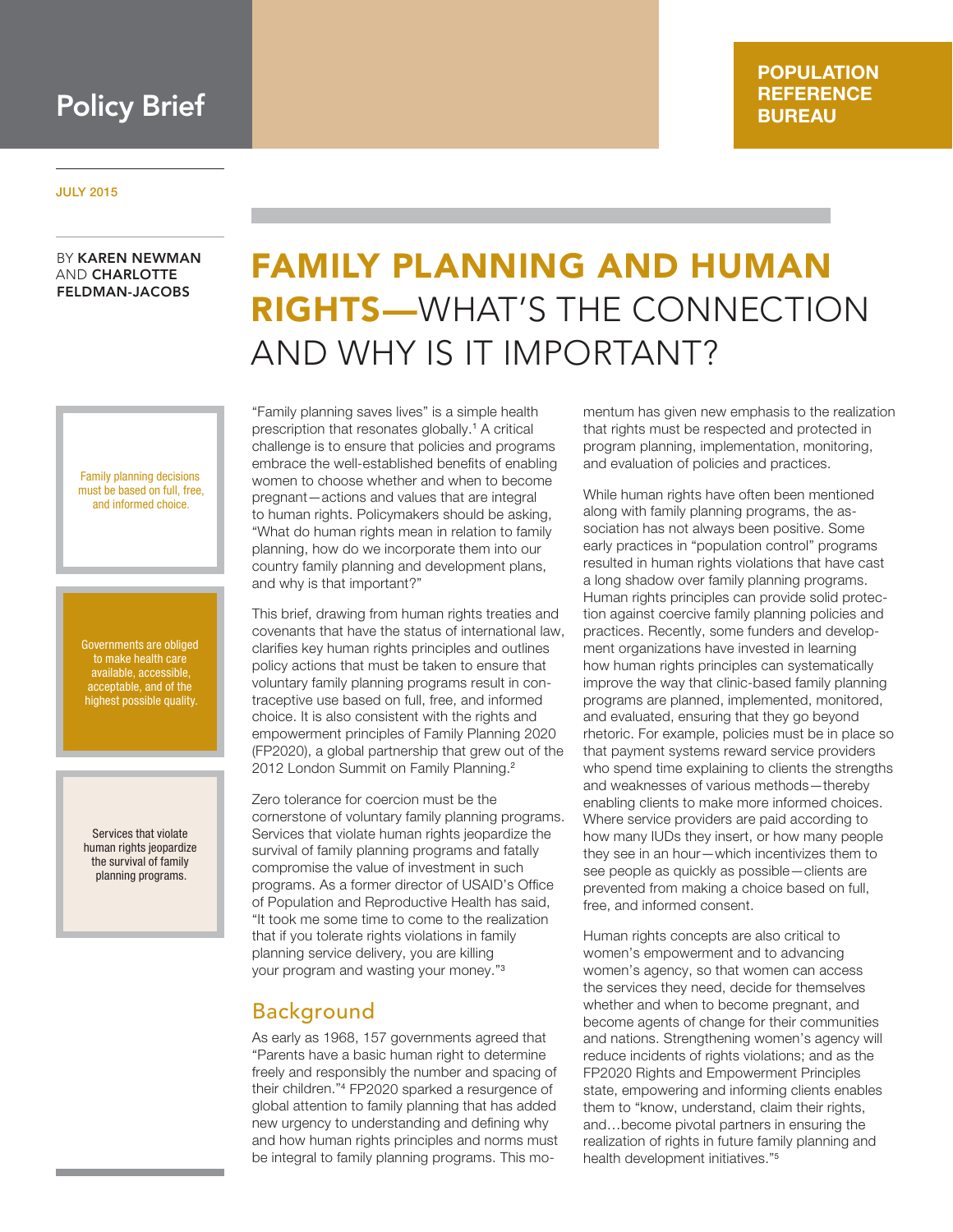# Policy Brief

### **POPULATION REFERENCE BUREAU**

#### JULY 2015

### BY KAREN NEWMAN AND CHARLOTTE FELDMAN-JACOBS

Family planning decisions must be based on full, free, and informed choice.

Governments are obliged to make health care available, accessible, acceptable, and of the highest possible quality.

Services that violate human rights jeopardize the survival of family planning programs.

# FAMILY PLANNING AND HUMAN RIGHTS—WHAT'S THE CONNECTION AND WHY IS IT IMPORTANT?

"Family planning saves lives" is a simple health prescription that resonates globally.<sup>1</sup> A critical challenge is to ensure that policies and programs embrace the well-established benefits of enabling women to choose whether and when to become pregnant—actions and values that are integral to human rights. Policymakers should be asking, "What do human rights mean in relation to family planning, how do we incorporate them into our country family planning and development plans, and why is that important?"

This brief, drawing from human rights treaties and covenants that have the status of international law, clarifies key human rights principles and outlines policy actions that must be taken to ensure that voluntary family planning programs result in contraceptive use based on full, free, and informed choice. It is also consistent with the rights and empowerment principles of Family Planning 2020 (FP2020), a global partnership that grew out of the 2012 London Summit on Family Planning.<sup>2</sup>

Zero tolerance for coercion must be the cornerstone of voluntary family planning programs. Services that violate human rights jeopardize the survival of family planning programs and fatally compromise the value of investment in such programs. As a former director of USAID's Office of Population and Reproductive Health has said, "It took me some time to come to the realization that if you tolerate rights violations in family planning service delivery, you are killing your program and wasting your money."<sup>3</sup>

### Background

As early as 1968, 157 governments agreed that "Parents have a basic human right to determine freely and responsibly the number and spacing of their children."<sup>4</sup> FP2020 sparked a resurgence of global attention to family planning that has added new urgency to understanding and defining why and how human rights principles and norms must be integral to family planning programs. This mo-

mentum has given new emphasis to the realization that rights must be respected and protected in program planning, implementation, monitoring, and evaluation of policies and practices.

While human rights have often been mentioned along with family planning programs, the association has not always been positive. Some early practices in "population control" programs resulted in human rights violations that have cast a long shadow over family planning programs. Human rights principles can provide solid protection against coercive family planning policies and practices. Recently, some funders and development organizations have invested in learning how human rights principles can systematically improve the way that clinic-based family planning programs are planned, implemented, monitored, and evaluated, ensuring that they go beyond rhetoric. For example, policies must be in place so that payment systems reward service providers who spend time explaining to clients the strengths and weaknesses of various methods—thereby enabling clients to make more informed choices. Where service providers are paid according to how many IUDs they insert, or how many people they see in an hour—which incentivizes them to see people as quickly as possible—clients are prevented from making a choice based on full, free, and informed consent.

Human rights concepts are also critical to women's empowerment and to advancing women's agency, so that women can access the services they need, decide for themselves whether and when to become pregnant, and become agents of change for their communities and nations. Strengthening women's agency will reduce incidents of rights violations; and as the FP2020 Rights and Empowerment Principles state, empowering and informing clients enables them to "know, understand, claim their rights, and…become pivotal partners in ensuring the realization of rights in future family planning and health development initiatives."<sup>5</sup>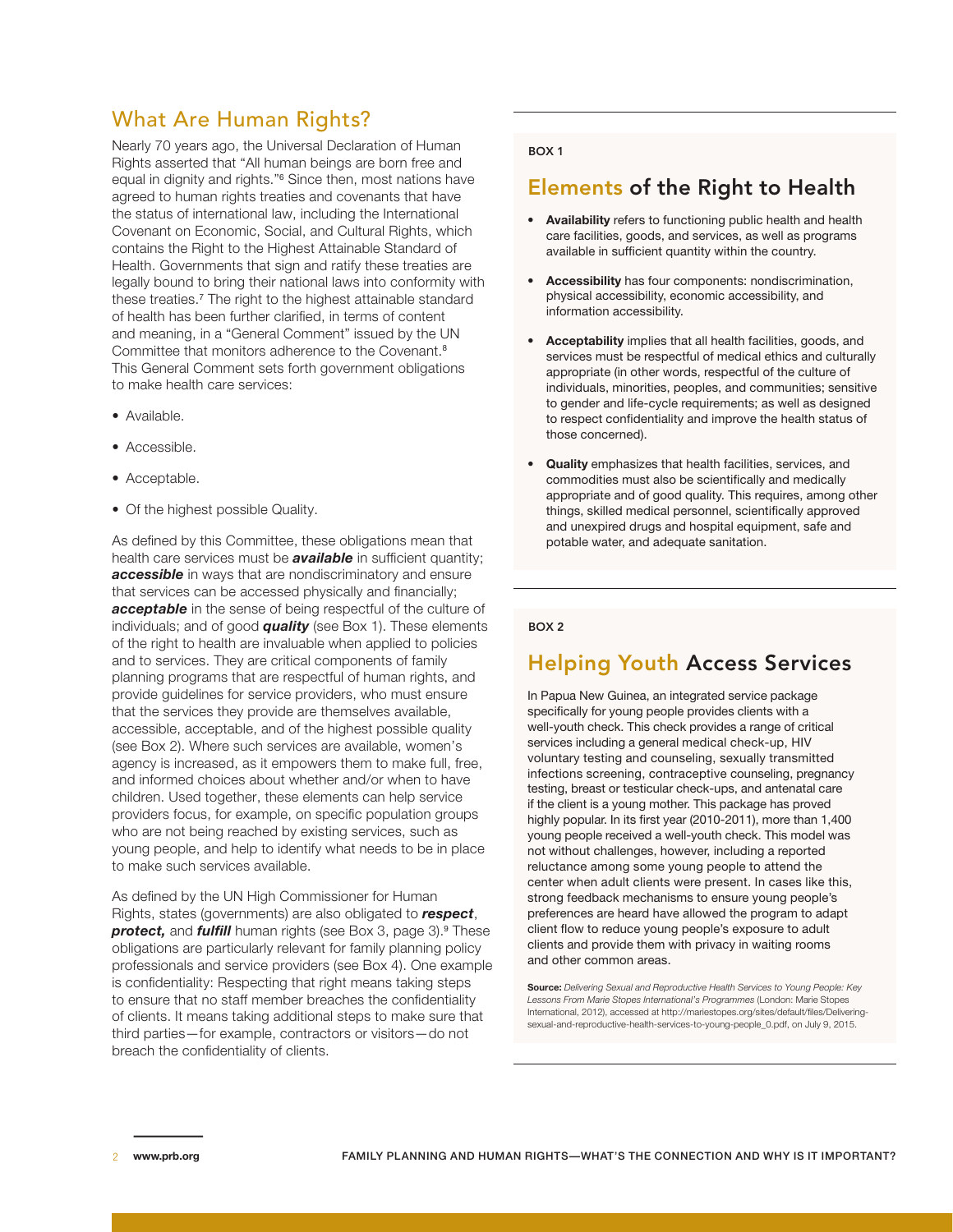# What Are Human Rights?

Nearly 70 years ago, the Universal Declaration of Human Rights asserted that "All human beings are born free and equal in dignity and rights."<sup>6</sup> Since then, most nations have agreed to human rights treaties and covenants that have the status of international law, including the International Covenant on Economic, Social, and Cultural Rights, which contains the Right to the Highest Attainable Standard of Health. Governments that sign and ratify these treaties are legally bound to bring their national laws into conformity with these treaties.<sup>7</sup> The right to the highest attainable standard of health has been further clarified, in terms of content and meaning, in a "General Comment" issued by the UN Committee that monitors adherence to the Covenant.<sup>8</sup> This General Comment sets forth government obligations to make health care services:

- Available.
- Accessible.
- Acceptable.
- Of the highest possible Quality.

As defined by this Committee, these obligations mean that health care services must be *available* in sufficient quantity; *accessible* in ways that are nondiscriminatory and ensure that services can be accessed physically and financially; *acceptable* in the sense of being respectful of the culture of individuals; and of good *quality* (see Box 1). These elements of the right to health are invaluable when applied to policies and to services. They are critical components of family planning programs that are respectful of human rights, and provide guidelines for service providers, who must ensure that the services they provide are themselves available, accessible, acceptable, and of the highest possible quality (see Box 2). Where such services are available, women's agency is increased, as it empowers them to make full, free, and informed choices about whether and/or when to have children. Used together, these elements can help service providers focus, for example, on specific population groups who are not being reached by existing services, such as young people, and help to identify what needs to be in place to make such services available.

As defined by the UN High Commissioner for Human Rights, states (governments) are also obligated to *respect*, *protect,* and *fulfill* human rights (see Box 3, page 3).<sup>9</sup> These obligations are particularly relevant for family planning policy professionals and service providers (see Box 4). One example is confidentiality: Respecting that right means taking steps to ensure that no staff member breaches the confidentiality of clients. It means taking additional steps to make sure that third parties—for example, contractors or visitors—do not breach the confidentiality of clients.

#### BOX 1

### Elements of the Right to Health

- **Availability** refers to functioning public health and health care facilities, goods, and services, as well as programs available in sufficient quantity within the country.
- **Accessibility** has four components: nondiscrimination, physical accessibility, economic accessibility, and information accessibility.
- **Acceptability** implies that all health facilities, goods, and services must be respectful of medical ethics and culturally appropriate (in other words, respectful of the culture of individuals, minorities, peoples, and communities; sensitive to gender and life-cycle requirements; as well as designed to respect confidentiality and improve the health status of those concerned).
- **Quality** emphasizes that health facilities, services, and commodities must also be scientifically and medically appropriate and of good quality. This requires, among other things, skilled medical personnel, scientifically approved and unexpired drugs and hospital equipment, safe and potable water, and adequate sanitation.

#### BOX 2

### Helping Youth Access Services

In Papua New Guinea, an integrated service package specifically for young people provides clients with a well-youth check. This check provides a range of critical services including a general medical check-up, HIV voluntary testing and counseling, sexually transmitted infections screening, contraceptive counseling, pregnancy testing, breast or testicular check-ups, and antenatal care if the client is a young mother. This package has proved highly popular. In its first year (2010-2011), more than 1,400 young people received a well-youth check. This model was not without challenges, however, including a reported reluctance among some young people to attend the center when adult clients were present. In cases like this, strong feedback mechanisms to ensure young people's preferences are heard have allowed the program to adapt client flow to reduce young people's exposure to adult clients and provide them with privacy in waiting rooms and other common areas.

**Source:** *Delivering Sexual and Reproductive Health Services to Young People: Key Lessons From Marie Stopes International's Programmes* (London: Marie Stopes International, 2012), accessed at http://mariestopes.org/sites/default/files/Deliveringsexual-and-reproductive-health-services-to-young-people\_0.pdf, on July 9, 2015.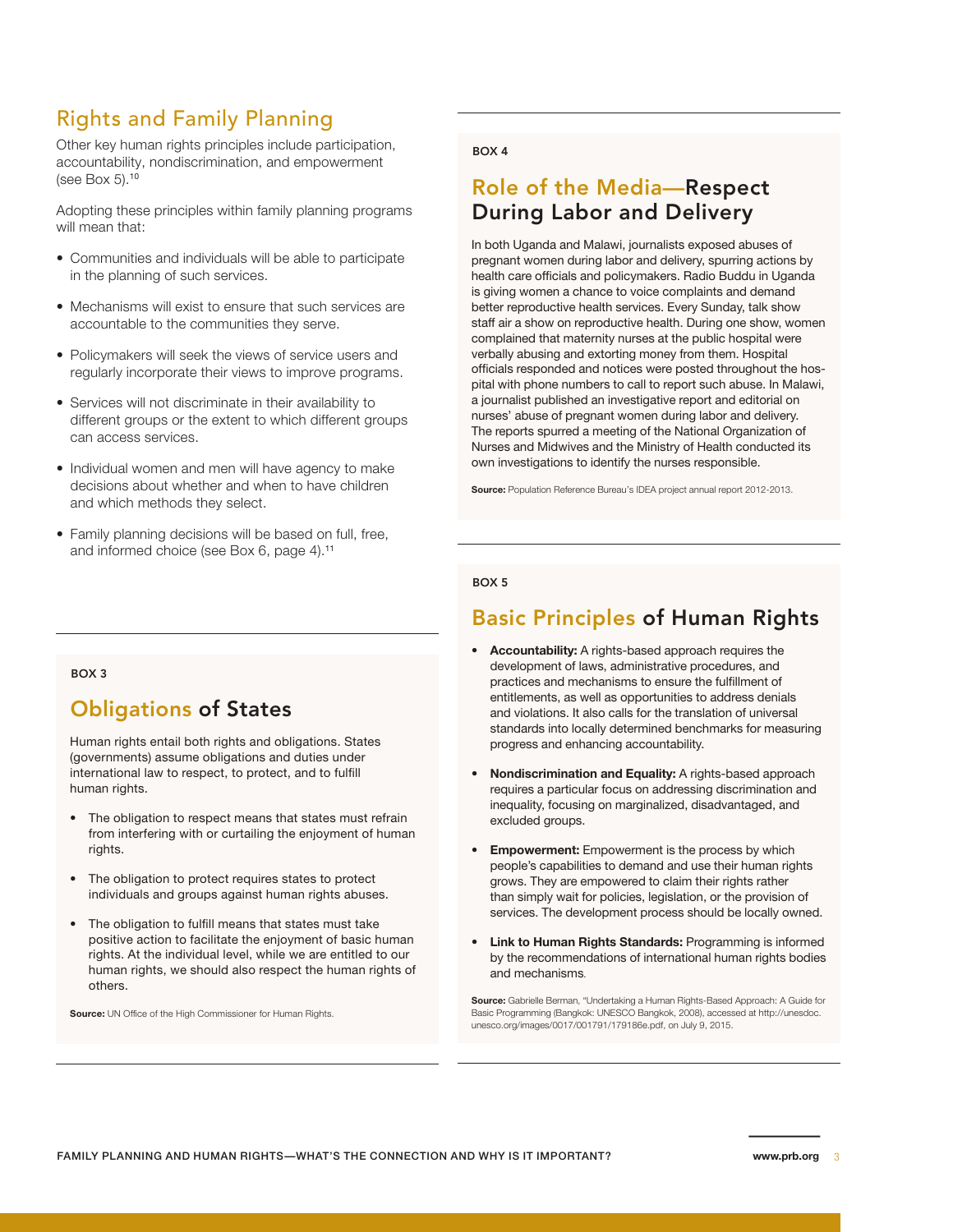# Rights and Family Planning

Other key human rights principles include participation, accountability, nondiscrimination, and empowerment (see Box 5).<sup>10</sup>

Adopting these principles within family planning programs will mean that:

- Communities and individuals will be able to participate in the planning of such services.
- Mechanisms will exist to ensure that such services are accountable to the communities they serve.
- Policymakers will seek the views of service users and regularly incorporate their views to improve programs.
- Services will not discriminate in their availability to different groups or the extent to which different groups can access services.
- Individual women and men will have agency to make decisions about whether and when to have children and which methods they select.
- Family planning decisions will be based on full, free, and informed choice (see Box 6, page 4).<sup>11</sup>

#### BOX 4

# Role of the Media—Respect During Labor and Delivery

In both Uganda and Malawi, journalists exposed abuses of pregnant women during labor and delivery, spurring actions by health care officials and policymakers. Radio Buddu in Uganda is giving women a chance to voice complaints and demand better reproductive health services. Every Sunday, talk show staff air a show on reproductive health. During one show, women complained that maternity nurses at the public hospital were verbally abusing and extorting money from them. Hospital officials responded and notices were posted throughout the hospital with phone numbers to call to report such abuse. In Malawi, a journalist published an investigative report and editorial on nurses' abuse of pregnant women during labor and delivery. The reports spurred a meeting of the National Organization of Nurses and Midwives and the Ministry of Health conducted its own investigations to identify the nurses responsible.

**Source:** Population Reference Bureau's IDEA project annual report 2012-2013.

#### BOX 5

### Basic Principles of Human Rights

- **• Accountability:** A rights-based approach requires the development of laws, administrative procedures, and practices and mechanisms to ensure the fulfillment of entitlements, as well as opportunities to address denials and violations. It also calls for the translation of universal standards into locally determined benchmarks for measuring progress and enhancing accountability.
- **• Nondiscrimination and Equality:** A rights-based approach requires a particular focus on addressing discrimination and inequality, focusing on marginalized, disadvantaged, and excluded groups.
- **Empowerment:** Empowerment is the process by which people's capabilities to demand and use their human rights grows. They are empowered to claim their rights rather than simply wait for policies, legislation, or the provision of services. The development process should be locally owned.
- **• Link to Human Rights Standards:** Programming is informed by the recommendations of international human rights bodies and mechanisms.

**Source:** Gabrielle Berman, "Undertaking a Human Rights-Based Approach: A Guide for Basic Programming (Bangkok: UNESCO Bangkok, 2008), accessed at http://unesdoc. unesco.org/images/0017/001791/179186e.pdf, on July 9, 2015.

#### BOX 3

# Obligations of States

Human rights entail both rights and obligations. States (governments) assume obligations and duties under international law to respect, to protect, and to fulfill human rights.

- The obligation to respect means that states must refrain from interfering with or curtailing the enjoyment of human rights.
- The obligation to protect requires states to protect individuals and groups against human rights abuses.
- The obligation to fulfill means that states must take positive action to facilitate the enjoyment of basic human rights. At the individual level, while we are entitled to our human rights, we should also respect the human rights of others.

**Source:** UN Office of the High Commissioner for Human Rights.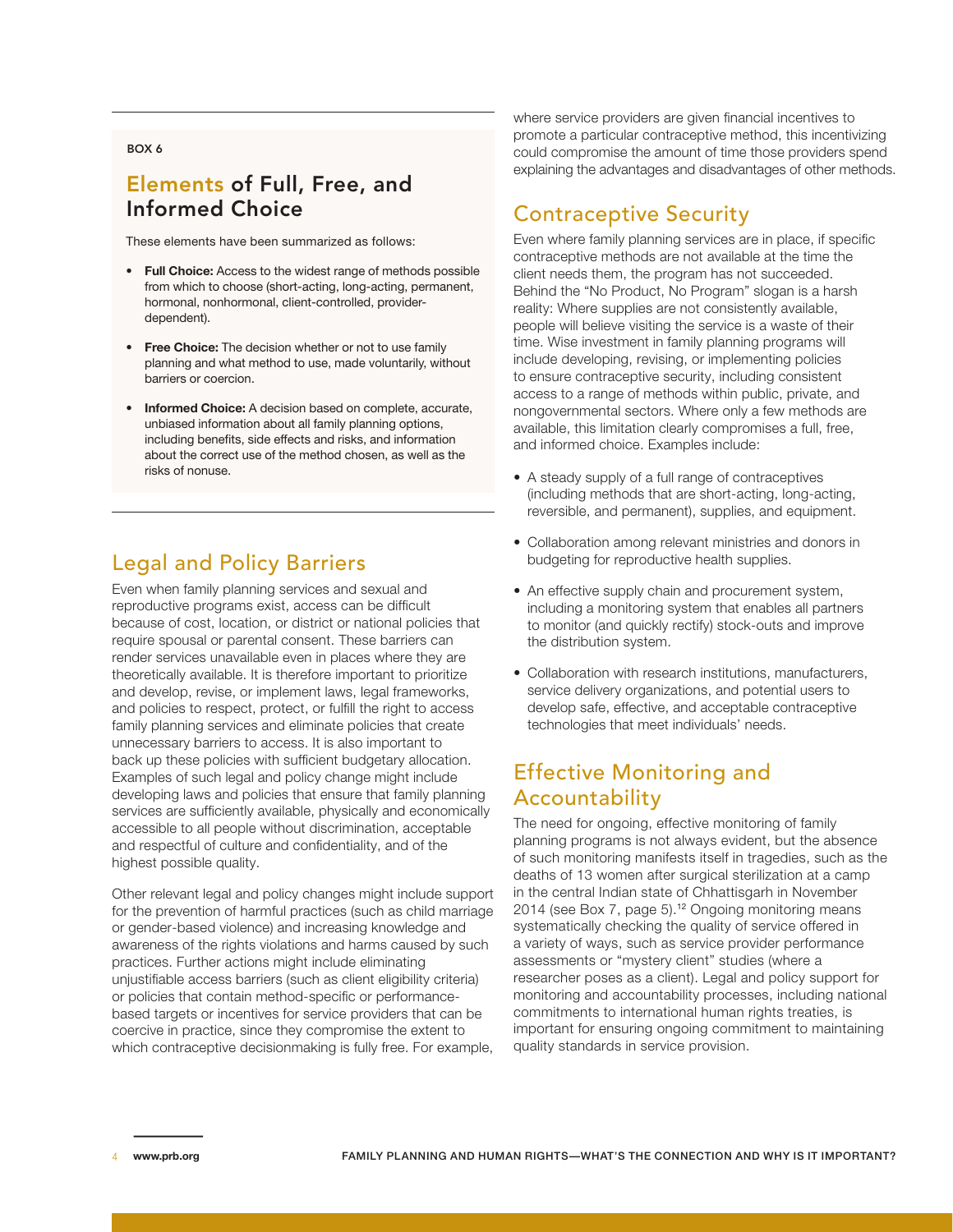#### BOX 6

# Elements of Full, Free, and Informed Choice

These elements have been summarized as follows:

- **Full Choice:** Access to the widest range of methods possible from which to choose (short-acting, long-acting, permanent, hormonal, nonhormonal, client-controlled, providerdependent).
- **Free Choice:** The decision whether or not to use family planning and what method to use, made voluntarily, without barriers or coercion.
- **Informed Choice:** A decision based on complete, accurate, unbiased information about all family planning options, including benefits, side effects and risks, and information about the correct use of the method chosen, as well as the risks of nonuse.

# Legal and Policy Barriers

Even when family planning services and sexual and reproductive programs exist, access can be difficult because of cost, location, or district or national policies that require spousal or parental consent. These barriers can render services unavailable even in places where they are theoretically available. It is therefore important to prioritize and develop, revise, or implement laws, legal frameworks, and policies to respect, protect, or fulfill the right to access family planning services and eliminate policies that create unnecessary barriers to access. It is also important to back up these policies with sufficient budgetary allocation. Examples of such legal and policy change might include developing laws and policies that ensure that family planning services are sufficiently available, physically and economically accessible to all people without discrimination, acceptable and respectful of culture and confidentiality, and of the highest possible quality.

Other relevant legal and policy changes might include support for the prevention of harmful practices (such as child marriage or gender-based violence) and increasing knowledge and awareness of the rights violations and harms caused by such practices. Further actions might include eliminating unjustifiable access barriers (such as client eligibility criteria) or policies that contain method-specific or performancebased targets or incentives for service providers that can be coercive in practice, since they compromise the extent to which contraceptive decisionmaking is fully free. For example, where service providers are given financial incentives to promote a particular contraceptive method, this incentivizing could compromise the amount of time those providers spend explaining the advantages and disadvantages of other methods.

# Contraceptive Security

Even where family planning services are in place, if specific contraceptive methods are not available at the time the client needs them, the program has not succeeded. Behind the "No Product, No Program" slogan is a harsh reality: Where supplies are not consistently available, people will believe visiting the service is a waste of their time. Wise investment in family planning programs will include developing, revising, or implementing policies to ensure contraceptive security, including consistent access to a range of methods within public, private, and nongovernmental sectors. Where only a few methods are available, this limitation clearly compromises a full, free, and informed choice. Examples include:

- A steady supply of a full range of contraceptives (including methods that are short-acting, long-acting, reversible, and permanent), supplies, and equipment.
- Collaboration among relevant ministries and donors in budgeting for reproductive health supplies.
- An effective supply chain and procurement system, including a monitoring system that enables all partners to monitor (and quickly rectify) stock-outs and improve the distribution system.
- Collaboration with research institutions, manufacturers, service delivery organizations, and potential users to develop safe, effective, and acceptable contraceptive technologies that meet individuals' needs.

# Effective Monitoring and **Accountability**

The need for ongoing, effective monitoring of family planning programs is not always evident, but the absence of such monitoring manifests itself in tragedies, such as the deaths of 13 women after surgical sterilization at a camp in the central Indian state of Chhattisgarh in November 2014 (see Box 7, page 5).<sup>12</sup> Ongoing monitoring means systematically checking the quality of service offered in a variety of ways, such as service provider performance assessments or "mystery client" studies (where a researcher poses as a client). Legal and policy support for monitoring and accountability processes, including national commitments to international human rights treaties, is important for ensuring ongoing commitment to maintaining quality standards in service provision.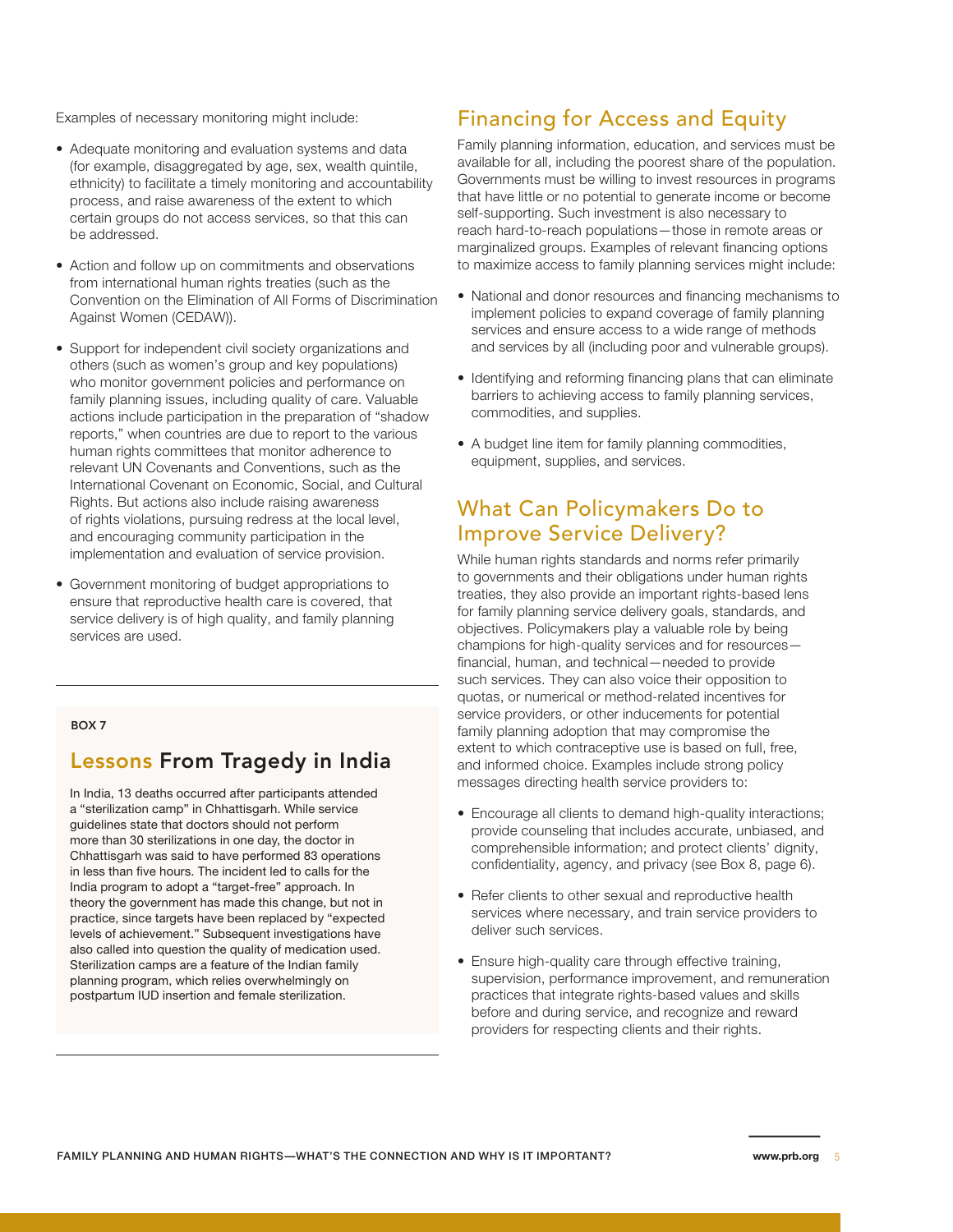Examples of necessary monitoring might include:

- Adequate monitoring and evaluation systems and data (for example, disaggregated by age, sex, wealth quintile, ethnicity) to facilitate a timely monitoring and accountability process, and raise awareness of the extent to which certain groups do not access services, so that this can be addressed.
- Action and follow up on commitments and observations from international human rights treaties (such as the Convention on the Elimination of All Forms of Discrimination Against Women (CEDAW)).
- Support for independent civil society organizations and others (such as women's group and key populations) who monitor government policies and performance on family planning issues, including quality of care. Valuable actions include participation in the preparation of "shadow reports," when countries are due to report to the various human rights committees that monitor adherence to relevant UN Covenants and Conventions, such as the International Covenant on Economic, Social, and Cultural Rights. But actions also include raising awareness of rights violations, pursuing redress at the local level, and encouraging community participation in the implementation and evaluation of service provision.
- Government monitoring of budget appropriations to ensure that reproductive health care is covered, that service delivery is of high quality, and family planning services are used.

BOX 7

### Lessons From Tragedy in India

In India, 13 deaths occurred after participants attended a "sterilization camp" in Chhattisgarh. While service guidelines state that doctors should not perform more than 30 sterilizations in one day, the doctor in Chhattisgarh was said to have performed 83 operations in less than five hours. The incident led to calls for the India program to adopt a "target-free" approach. In theory the government has made this change, but not in practice, since targets have been replaced by "expected levels of achievement." Subsequent investigations have also called into question the quality of medication used. Sterilization camps are a feature of the Indian family planning program, which relies overwhelmingly on postpartum IUD insertion and female sterilization.

# Financing for Access and Equity

Family planning information, education, and services must be available for all, including the poorest share of the population. Governments must be willing to invest resources in programs that have little or no potential to generate income or become self-supporting. Such investment is also necessary to reach hard-to-reach populations—those in remote areas or marginalized groups. Examples of relevant financing options to maximize access to family planning services might include:

- National and donor resources and financing mechanisms to implement policies to expand coverage of family planning services and ensure access to a wide range of methods and services by all (including poor and vulnerable groups).
- Identifying and reforming financing plans that can eliminate barriers to achieving access to family planning services, commodities, and supplies.
- A budget line item for family planning commodities, equipment, supplies, and services.

### What Can Policymakers Do to Improve Service Delivery?

While human rights standards and norms refer primarily to governments and their obligations under human rights treaties, they also provide an important rights-based lens for family planning service delivery goals, standards, and objectives. Policymakers play a valuable role by being champions for high-quality services and for resources financial, human, and technical—needed to provide such services. They can also voice their opposition to quotas, or numerical or method-related incentives for service providers, or other inducements for potential family planning adoption that may compromise the extent to which contraceptive use is based on full, free, and informed choice. Examples include strong policy messages directing health service providers to:

- Encourage all clients to demand high-quality interactions; provide counseling that includes accurate, unbiased, and comprehensible information; and protect clients' dignity, confidentiality, agency, and privacy (see Box 8, page 6).
- Refer clients to other sexual and reproductive health services where necessary, and train service providers to deliver such services.
- Ensure high-quality care through effective training. supervision, performance improvement, and remuneration practices that integrate rights-based values and skills before and during service, and recognize and reward providers for respecting clients and their rights.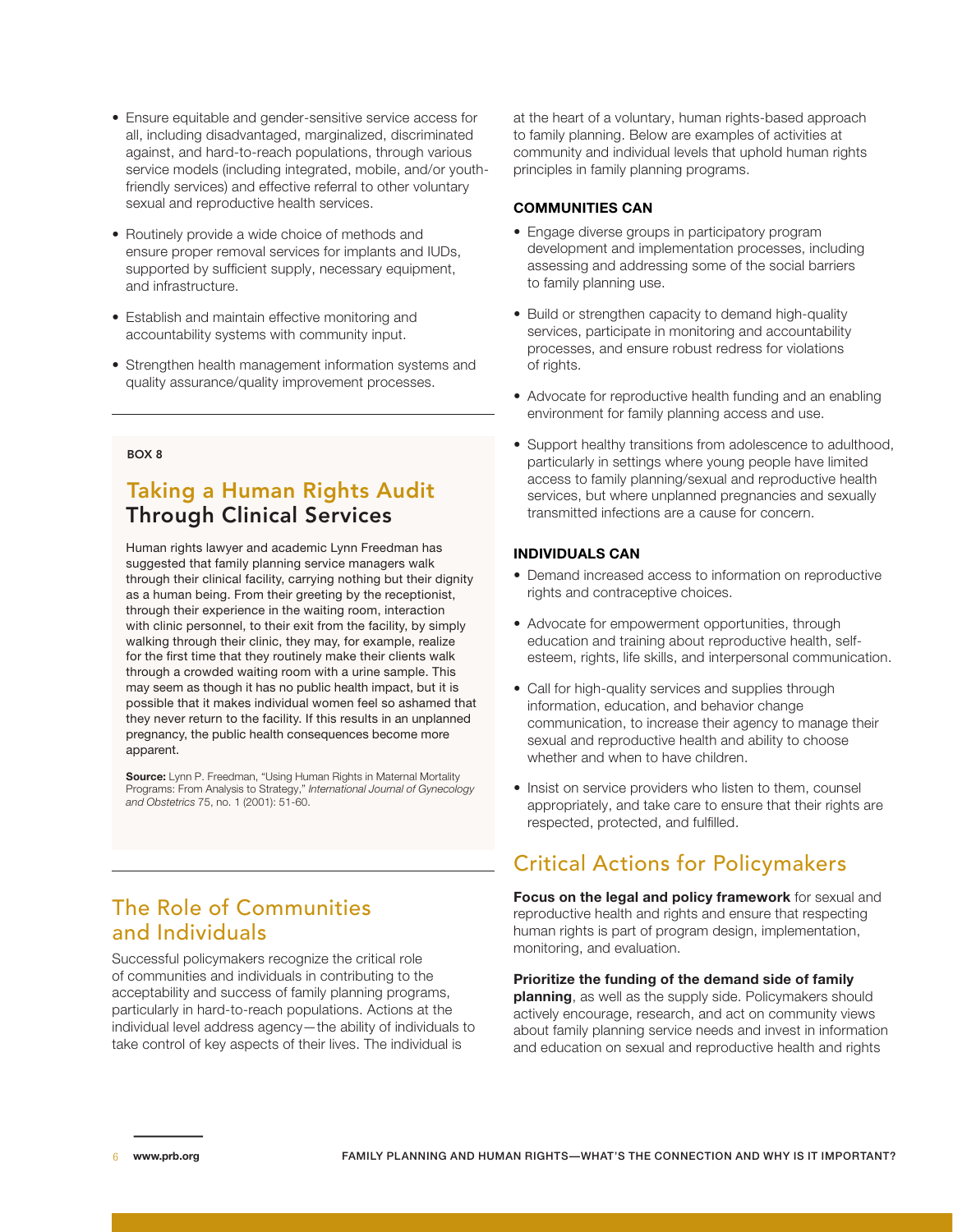- Ensure equitable and gender-sensitive service access for all, including disadvantaged, marginalized, discriminated against, and hard-to-reach populations, through various service models (including integrated, mobile, and/or youthfriendly services) and effective referral to other voluntary sexual and reproductive health services.
- Routinely provide a wide choice of methods and ensure proper removal services for implants and IUDs, supported by sufficient supply, necessary equipment, and infrastructure.
- Establish and maintain effective monitoring and accountability systems with community input.
- Strengthen health management information systems and quality assurance/quality improvement processes.

### BOX 8

### Taking a Human Rights Audit Through Clinical Services

Human rights lawyer and academic Lynn Freedman has suggested that family planning service managers walk through their clinical facility, carrying nothing but their dignity as a human being. From their greeting by the receptionist, through their experience in the waiting room, interaction with clinic personnel, to their exit from the facility, by simply walking through their clinic, they may, for example, realize for the first time that they routinely make their clients walk through a crowded waiting room with a urine sample. This may seem as though it has no public health impact, but it is possible that it makes individual women feel so ashamed that they never return to the facility. If this results in an unplanned pregnancy, the public health consequences become more apparent.

**Source:** Lynn P. Freedman, "Using Human Rights in Maternal Mortality Programs: From Analysis to Strategy," *International Journal of Gynecology and Obstetrics* 75, no. 1 (2001): 51-60.

# The Role of Communities and Individuals

Successful policymakers recognize the critical role of communities and individuals in contributing to the acceptability and success of family planning programs, particularly in hard-to-reach populations. Actions at the individual level address agency—the ability of individuals to take control of key aspects of their lives. The individual is

at the heart of a voluntary, human rights-based approach to family planning. Below are examples of activities at community and individual levels that uphold human rights principles in family planning programs.

#### **COMMUNITIES CAN**

- Engage diverse groups in participatory program development and implementation processes, including assessing and addressing some of the social barriers to family planning use.
- Build or strengthen capacity to demand high-quality services, participate in monitoring and accountability processes, and ensure robust redress for violations of rights.
- Advocate for reproductive health funding and an enabling environment for family planning access and use.
- Support healthy transitions from adolescence to adulthood, particularly in settings where young people have limited access to family planning/sexual and reproductive health services, but where unplanned pregnancies and sexually transmitted infections are a cause for concern.

#### **INDIVIDUALS CAN**

- Demand increased access to information on reproductive rights and contraceptive choices.
- Advocate for empowerment opportunities, through education and training about reproductive health, selfesteem, rights, life skills, and interpersonal communication.
- Call for high-quality services and supplies through information, education, and behavior change communication, to increase their agency to manage their sexual and reproductive health and ability to choose whether and when to have children.
- Insist on service providers who listen to them, counsel appropriately, and take care to ensure that their rights are respected, protected, and fulfilled.

# Critical Actions for Policymakers

**Focus on the legal and policy framework** for sexual and reproductive health and rights and ensure that respecting human rights is part of program design, implementation, monitoring, and evaluation.

#### **Prioritize the funding of the demand side of family**

**planning**, as well as the supply side. Policymakers should actively encourage, research, and act on community views about family planning service needs and invest in information and education on sexual and reproductive health and rights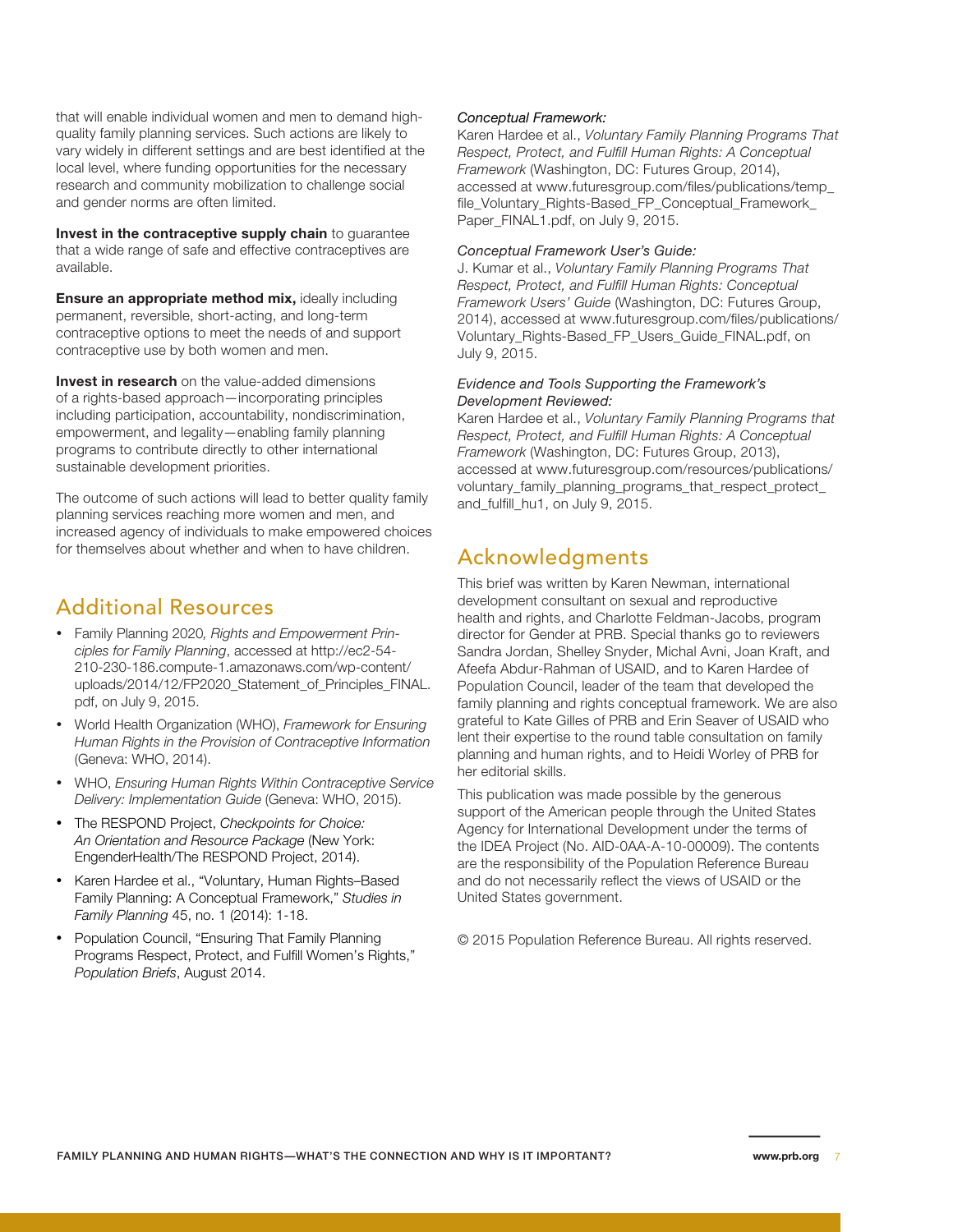that will enable individual women and men to demand highquality family planning services. Such actions are likely to vary widely in different settings and are best identified at the local level, where funding opportunities for the necessary research and community mobilization to challenge social and gender norms are often limited.

**Invest in the contraceptive supply chain** to guarantee that a wide range of safe and effective contraceptives are available.

**Ensure an appropriate method mix,** ideally including permanent, reversible, short-acting, and long-term contraceptive options to meet the needs of and support contraceptive use by both women and men.

**Invest in research** on the value-added dimensions of a rights-based approach—incorporating principles including participation, accountability, nondiscrimination, empowerment, and legality—enabling family planning programs to contribute directly to other international sustainable development priorities.

The outcome of such actions will lead to better quality family planning services reaching more women and men, and increased agency of individuals to make empowered choices for themselves about whether and when to have children.

### Additional Resources

- • Family Planning 2020*, Rights and Empowerment Principles for Family Planning*, accessed at [http://ec2-54-](http://ec2-54-210-230-186.compute-1.amazonaws.com/wp-content/uploads/2014/12/FP2020_Statement_of_Principles_FINAL.pdf) [210-230-186.compute-1.amazonaws.com/wp-content/](http://ec2-54-210-230-186.compute-1.amazonaws.com/wp-content/uploads/2014/12/FP2020_Statement_of_Principles_FINAL.pdf) [uploads/2014/12/FP2020\\_Statement\\_of\\_Principles\\_FINAL.](http://ec2-54-210-230-186.compute-1.amazonaws.com/wp-content/uploads/2014/12/FP2020_Statement_of_Principles_FINAL.pdf) [pdf,](http://ec2-54-210-230-186.compute-1.amazonaws.com/wp-content/uploads/2014/12/FP2020_Statement_of_Principles_FINAL.pdf) on July 9, 2015.
- • World Health Organization (WHO), *Framework for Ensuring Human Rights in the Provision of Contraceptive Information*  (Geneva: WHO, 2014).
- • WHO, *Ensuring Human Rights Within Contraceptive Service Delivery: Implementation Guide* (Geneva: WHO, 2015).
- • The RESPOND Project, *Checkpoints for Choice: An Orientation and Resource Package* (New York: EngenderHealth/The RESPOND Project, 2014).
- • Karen Hardee et al., "Voluntary, Human Rights–Based Family Planning: A Conceptual Framework," *Studies in Family Planning* 45, no. 1 (2014): 1-18.
- Population Council, "Ensuring That Family Planning Programs Respect, Protect, and Fulfill Women's Rights," *Population Briefs*, August 2014.

### *Conceptual Framework:*

Karen Hardee et al., *Voluntary Family Planning Programs That Respect, Protect, and Fulfill Human Rights: A Conceptual Framework* (Washington, DC: Futures Group, 2014), accessed at [www.futuresgroup.com/files/publications/temp\\_](http://www.futuresgroup.com/files/publications/temp_file_Voluntary_Rights-Based_FP_Conceptual_Framework_Paper_FINAL1.pdf) [file\\_Voluntary\\_Rights-Based\\_FP\\_Conceptual\\_Framework\\_](http://www.futuresgroup.com/files/publications/temp_file_Voluntary_Rights-Based_FP_Conceptual_Framework_Paper_FINAL1.pdf) [Paper\\_FINAL1.pdf](http://www.futuresgroup.com/files/publications/temp_file_Voluntary_Rights-Based_FP_Conceptual_Framework_Paper_FINAL1.pdf), on July 9, 2015.

### *Conceptual Framework User's Guide:*

J. Kumar et al., *Voluntary Family Planning Programs That Respect, Protect, and Fulfill Human Rights: Conceptual Framework Users' Guide* (Washington, DC: Futures Group, 2014), accessed at [www.futuresgroup.com/files/publications/](http://www.futuresgroup.com/files/publications/Voluntary_Rights-Based_FP_Users_Guide_FINAL.pdf) [Voluntary\\_Rights-Based\\_FP\\_Users\\_Guide\\_FINAL.pdf,](http://www.futuresgroup.com/files/publications/Voluntary_Rights-Based_FP_Users_Guide_FINAL.pdf) on July 9, 2015.

### *Evidence and Tools Supporting the Framework's Development Reviewed:*

Karen Hardee et al., *Voluntary Family Planning Programs that Respect, Protect, and Fulfill Human Rights: A Conceptual Framework* (Washington, DC: Futures Group, 2013), accessed at [www.futuresgroup.com/resources/publications/](http://www.futuresgroup.com/resources/publications/voluntary_family_planning_programs_that_respect_protect_and_fulfill_hu1) [voluntary\\_family\\_planning\\_programs\\_that\\_respect\\_protect\\_](http://www.futuresgroup.com/resources/publications/voluntary_family_planning_programs_that_respect_protect_and_fulfill_hu1) [and\\_fulfill\\_hu1](http://www.futuresgroup.com/resources/publications/voluntary_family_planning_programs_that_respect_protect_and_fulfill_hu1), on July 9, 2015.

# Acknowledgments

This brief was written by Karen Newman, international development consultant on sexual and reproductive health and rights, and Charlotte Feldman-Jacobs, program director for Gender at PRB. Special thanks go to reviewers Sandra Jordan, Shelley Snyder, Michal Avni, Joan Kraft, and Afeefa Abdur-Rahman of USAID, and to Karen Hardee of Population Council, leader of the team that developed the family planning and rights conceptual framework. We are also grateful to Kate Gilles of PRB and Erin Seaver of USAID who lent their expertise to the round table consultation on family planning and human rights, and to Heidi Worley of PRB for her editorial skills.

This publication was made possible by the generous support of the American people through the United States Agency for International Development under the terms of the IDEA Project (No. AID-0AA-A-10-00009). The contents are the responsibility of the Population Reference Bureau and do not necessarily reflect the views of USAID or the United States government.

© 2015 Population Reference Bureau. All rights reserved.